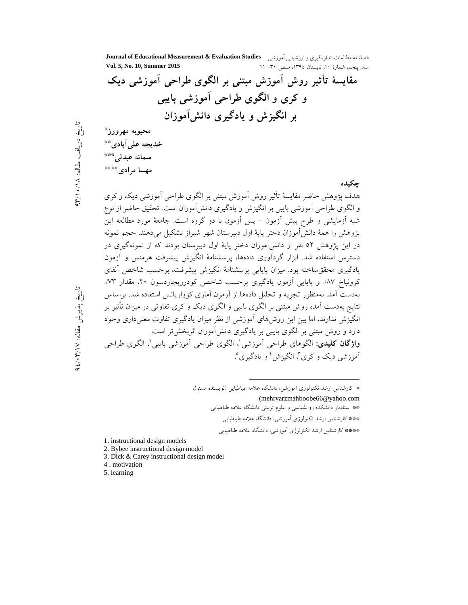فصلنامه مطالعات اندازهگیری و ارزشیابی آموزشی **Journal of Educational Measurement & Evaluation Studies**<br>سالمینچه، شهادهٔ ۱۰ ، تاستان ۱۳۹۶، صصر ۱۳۰۰– ۱۱ سال ينجم، شمارة ١٠، تابستان ١٣٩٤، صص ٣٠- ١١ مقایسهٔ تأثیر روش آموزش مبتنی بر الگوی طراحی آموزشی دیک و کری و الگوی طراحی اموزشی بایب<u>ی</u> بر انگیزش و یادگیری دانشlموزان محبوبه مهرورز\* خدیجه عل*ی آ*بادی\*\* سمانه عبدل*ی*\*\*\*  **-' \*\*\*\*** حکى*د*ە هدف پژوهش حاضر مقایسهٔ تأثیر روش آموزش مبتنی بر الگوی طراحی آموزشی دیک و کری و الگوی طراحی أموزشی بایبی بر انگیزش و یادگیری دانش[موزان است. تحقیق حاضر از نوع شبه أزمايشي و طرح پيش أزمون – پس أزمون با دو گروه است. جامعهٔ مورد مطالعه اين پژوهش را همهٔ دانش|موزان دختر پایهٔ اول دبیرستان شهر شیراز تشکیل میدهند. حجم نمونه در این پژوهش ٥٢ نفر از دانشآموزان دختر پایهٔ اول دبیرستان بودند که از نمونهگیری در دسترس استفاده شد. ابزار گردآوری دادهها، پرسشنامهٔ انگیزش پیشرفت هرمنس و آزمون یادگیری محققساخته بود. میزان پایایی پرسشنامهٔ انگیزش پیشرفت، برحسب شاخص ألفای کرونباخ ۸۷٪ و پایایی آزمون یادگیری برحسب شاخص کودرریچاردسون ۲۰، مقدار ۷۳٪ بهدست آمد. بهمنظور تجزیه و تحلیل دادهها از آزمون آماری کوواریانس استفاده شد. براساس نتایج بهدست آمده روش مبتنی بر الگوی بایبی و الگوی دیک و کری تفاوتی در میزان تأثیر بر انگیزش ندارند، اما بین این روش۱عای آموزشی از نظر میزان یادگیری تفاوت معنیداری وجود دارد و روش مبتنی بر الگوی بایبی بر یادگیری دانشآموزان اثربخشتر است. **واژگان کلیدی**: الگوهای طراحی اَموزشی'، الگوی طراحی اَموزشی بایبی'، الگوی طراحی أموزشى ديک و کرى<sup>۳</sup>، انگيزش<sup>، پ</sup>و يادگيرى° .

\* كارشناس ارشد تكنولوژى أموزشى، دانشگاه علامه طباطبايى (نويسنده مسئول

-

(mehrvarzmahboobe66@yahoo.com

\*\* استادیار دانشکده روانشناسی و علوم تربیتی دانشگاه علامه طباطبایی

- \*\*\* كارشناس ارشد تكنولوژى أموزشى، دانشگاه علامه طباطبايى
- \*\*\*\* کارشناس ارشد تکنولوژی آموزشی، دانشگاه علامه طباطبایی
- 1. instructional design models
- 2. Bybee instructional design model
- 3. Dick & Carey instructional design model
- 4 . motivation
- 5. learning

يافت مقاله:

 $\lambda$  /  $\lambda$ 

۹۳ : تاریخ پذیرش مقاله:

لابر<br>پې ़्

۹٤/۰۳/۱۷

لابو.<br>ج ़्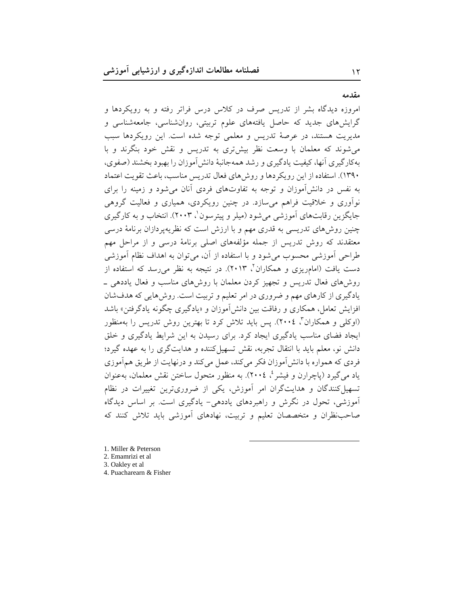مقدمه

۱۲

امروزه دیدگاه بشر از تدریس صرف در کلاس درس فراتر رفته و به رویکردها و گرایش های جدید که حاصل یافتههای علوم تربیتی، روانشناسی، جامعهشناسی و مديريت هستند، در عرصهٔ تدريس و معلمي توجه شده است. اين رويكردها سبب می شوند که معلمان با وسعت نظر بیشتری به تدریس و نقش خود بنگرند و با به کار گیری آنها، کیفیت یادگیری و رشد همهجانبهٔ دانش آموزان را بهبود بخشند (صفوی، ۱۳۹۰). استفاده از این رویکردها و روشهای فعال تدریس مناسب، باعث تقویت اعتماد به نفس در دانش آموزان و توجه به تفاوتهای فردی آنان می شود و زمینه را برای نوآوری و خلاقیت فراهم میسازد. در چنین رویکردی، همپاری و فعالیت گروهی جایگزین رقابتهای آموزشی می شود (میلر و پیترسون`، ۲۰۰۳). انتخاب و به کارگیری چنین روشهای تدریسی به قدری مهم و با ارزش است که نظریهپردازان برنامهٔ درسی معتقدند که روش تدریس از جمله مؤلفههای اصلی برنامهٔ درسی و از مراحل مهم طراحی آموزشی محسوب می شود و با استفاده از آن، می توان به اهداف نظام آموزشی دست یافت (امامریزی و همکاران<sup>۲</sup>، ۲۰۱۳). در نتیجه به نظر می رسد که استفاده از روش های فعال تدریس و تجهیز کردن معلمان با روش های مناسب و فعال یاددهی \_ یادگیری از کارهای مهم و ضروری در امر تعلیم و تربیت است. روش هایی که هدفشان افزایش تعامل، همکاری و رفاقت بین دانش آموزان و «یادگیری چگونه یادگرفتن» باشد (اوکلی و همکاران"، ٢٠٠٤). پس باید تلاش کرد تا بهترین روش تدریس را بهمنظور ایجاد فضای مناسب یادگیری ایجاد کرد. برای رسیدن به این شرایط یادگیری و خلق دانش نو، معلم باید با انتقال تجربه، نقش تسهیل کننده و هدایتگری را به عهده گیرد؛ فردی که همواره با دانش آموزان فکر میکند، عمل میکند و درنهایت از طریق همآموزی ياد مي گيرد (پاچرارن و فيشر <sup>ع</sup>، ٢٠٠٤). به منظور متحول ساختن نقش معلمان، بهعنوان تسهیل کنندگان و هدایتگران امر آموزش، یکی از ضروریترین تغییرات در نظام آموزشی، تحول در نگرش و راهبردهای یاددهی- یادگیری است. بر اساس دیدگاه صاحب نظران و متخصصان تعلیم و تربیت، نهادهای آموزشی باید تلاش کنند که

1. Miller & Peterson 2. Emamrizi et al 3. Oakley et al. 4. Puacharearn & Fisher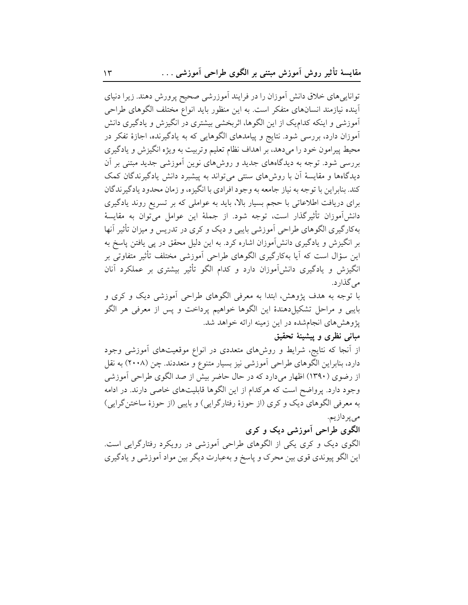تواناییهای خلاق دانش آموزان را در فرایند آموزرشی صحیح پرورش دهند. زیرا دنیای آینده نیازمند انسانهای متفکر است. به این منظور باید انواع مختلف الگوهای طراحی آموزشی و اینکه کدام یک از این الگوها، اثربخشی بیشتری در انگیزش و یادگیری دانش آموزان دارد، بررسی شود. نتایج و پیامدهای الگوهایی که به یادگیرنده، اجازهٔ تفکر در محیط پیرامون خود را میدهد، بر اهداف نظام تعلیم وتربیت به ویژه انگیزش و یادگیری بررسی شود. توجه به دیدگاههای جدید و روشهای نوین آموزشی جدید مبتنی بر آن دیدگاهها و مقایسهٔ آن با روشهای سنتی می تواند به پیشبرد دانش یادگیرندگان کمک كند. بنابراين با توجه به نياز جامعه به وجود افرادي با انگيزه، و زمان محدود يادگير ندگان برای دریافت اطلاعاتی با حجم بسیار بالا، باید به عواملی که بر تسریع روند یادگیری دانش[موزان تأثيرگذار است، توجه شود. از جملهٔ اين عوامل مي¤وان به مقايسهٔ بهکارگیری الگوهای طراحی آموزشی بایبی و دیک و کری در تدریس و میزان تأثیر آنها بر انگیزش و یادگیری دانشآموزان اشاره کرد. به این دلیل محقق در پی یافتن پاسخ به این سؤال است که آیا بهکارگیری الگوهای طراحی آموزشی مختلف تأثیر متفاوتی بر انگیزش و یادگیری دانشآموزان دارد و کدام الگو تأثیر بیشتری بر عملکرد آنان مے گذار د.

با توجه به هدف پژوهش، ابتدا به معرفی الگوهای طراحی آموزشی دیک و کری و بایبی و مراحل تشکیلِدهندهٔ این الگوها خواهیم پرداخت و پس از معرفی هر الگو پژوهشهای انجامشده در این زمینه ارائه خواهد شد.

### مبانی نظری و پیشینهٔ تحقیق

از آنجا که نتایج، شرایط و روشهای متعددی در انواع موقعیتهای آموزشی وجود دارد، بنابراین الگوهای طراحی آموزشی نیز بسیار متنوع و متعددند. چن (۲۰۰۸) به نقل از رضوی (۱۳۹۰) اظهار میدارد که در حال حاضر بیش از صد الگوی طراحی آموزشی وجود دارد. پرواضح است که هرکدام از این الگوها قابلیتهای خاصی دارند. در ادامه به معرفي الگوهاي ديک و کري (از حوزهٔ رفتارگرايي) و بايبي (از حوزهٔ ساختنگرايي) مى پردازيم.

## الگوی طراحی آموزشی دیک و کری

الگوی دیک و کری یکی از الگوهای طراحی آموزشی در رویکرد رفتارگرایی است. این الگو پیوندی قوی بین محرک و پاسخ و بهعبارت دیگر بین مواد اَموزشی و یادگیری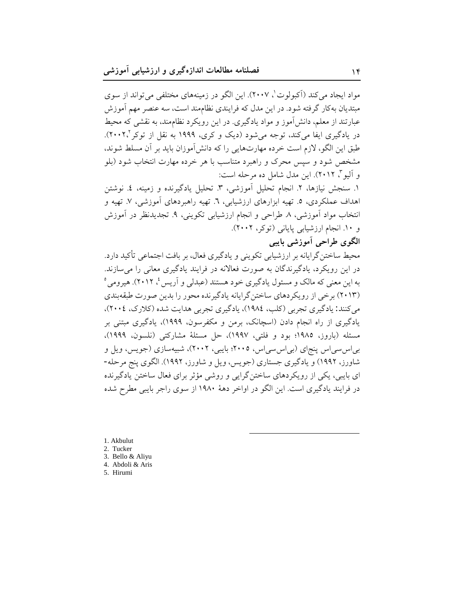مواد ايجاد مي كند (آكبولوت'، ٢٠٠٧). اين الگو در زمينههاي مختلفي مي تواند از سوي مبتدیان بهکار گرفته شود. در این مدل که فرایندی نظاممند است، سه عنصر مهم آموزش عبارتند از معلم، دانش آموز و مواد یادگیری. در این رویکرد نظام مند، به نقشی که محیط در یادگیری ایفا میکند، توجه می شود (دیک و کری، ۱۹۹۹ به نقل از توکر ۲۰۰۲٪). طبق این الگو، لازم است خرده مهارتهایی را که دانشآموزان باید بر آن مسلط شوند، مشخص شود و سپس محرک و راهبرد متناسب با هر خرده مهارت انتخاب شود (بلو و آليو "، ٢٠١٢). اين مدل شامل ده مرحله است:

١. سنجش نيازها، ٢. انجام تحليل آموزشي، ٣. تحليل يادگيرنده و زمينه، ٤. نوشتن اهداف عملکردی، ٥. تهیه ابزارهای ارزشیابی، ٦. تهیه راهبردهای آموزشی، ٧. تهیه و انتخاب مواد آموزشي، ٨. طراحي و انجام ارزشيابي تكويني، ٩. تجديدنظر در آموزش و ١٠. انجام ارزشيابي پاياني (توكر، ٢٠٠٢).

# الگوی طراحی آموزشی بایبی

محیط ساختن گرایانه بر ارزشیابی تکوینی و یادگیری فعال، بر بافت اجتماعی تأکید دارد. در این رویکرد، یادگیرندگان به صورت فعالانه در فرایند یادگیری معانی را می سازند. به این معنی که مالک و مسئول یادگیری خود هستند (عبدلی و آریس <sup>؛</sup>، ۲۰۱۲). هیرومی <sup>ه</sup> (۲۰۱۳) برخی از رویکردهای ساختن گرایانه یادگیرنده محور را بدین صورت طبقهبندی می کنند: یادگیری تجربی (کلب، ۱۹۸٤)، یادگیری تجربی هدایت شده (کلارک، ۲۰۰٤)، یادگیری از راه انجام دادن (اسچانک، برمن و مکفرسون، ۱۹۹۹)، یادگیری مبتنی بر مسئله (باروز، ۱۹۸۵؛ بود و فلتي، ۱۹۹۷)، حل مسئلهٔ مشاركتي (نلسون، ۱۹۹۹)، بیاس سی اس پنجای (بی اس سی اس، ۲۰۰۵؛ بایبی، ۲۰۰۲)، شبیهسازی (جویس، ویل و شاورز، ۱۹۹۲) و یادگیری جستاری (جویس، ویل و شاورز، ۱۹۹۲). الگوی پنج مرحله-ای بایبی، یکی از رویکردهای ساختن گرایی و روشی مؤثر برای فعال ساختن یادگیرنده در فرایند یادگیری است. این الگو در اواخر دههٔ ۱۹۸۰ از سوی راجر بایبی مطرح شده

1. Akbulut 2. Tucker 3. Bello & Aliyu 4. Abdoli & Aris 5. Hirumi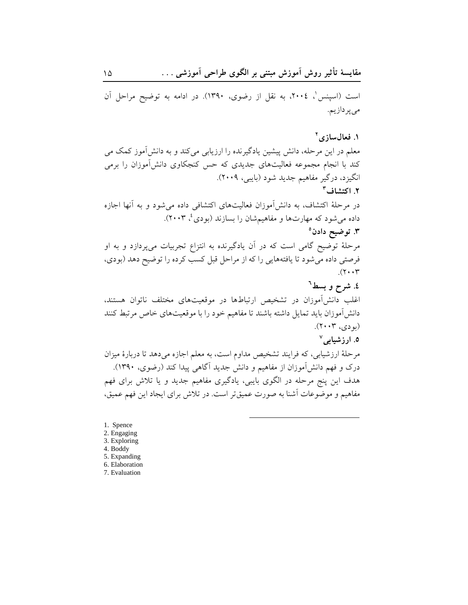است (اسپنس'، ٢٠٠٤، به نقل از رضوي، ١٣٩٠). در ادامه به توضيح مراحل آن مىپردازيم.

### ١. فعال سازي٢

معلم در این مرحله، دانش پیشین یادگیرنده را ارزیابی میکند و به دانشآموز کمک می کند با انجام مجموعه فعالیتهای جدیدی که حس کنجکاوی دانشآموزان را برمی انگیزد، درگیر مفاهیم جدید شود (بایبی، ۲۰۰۹). ٢. اكتشاف<sup>٣</sup> در مرحلهٔ اکتشاف، به دانشآموزان فعالیتهای اکتشافی داده می شود و به أنها اجازه داده میشود که مهارتها و مفاهیمشان را بسازند (بودی، ۲۰۰۳). ۰۳ توضیح دادن° مرحلهٔ توضیح گامی است که در آن یادگیرنده به انتزاع تجربیات میپردازد و به او فرصتي داده مي شود تا يافتههايي را كه از مراحل قبل كسب كرده را توضيح دهد (بودي،  $\gamma \cdot \cdot \tau$ 

٤. شرح و بسط<sup>٦</sup>

اغلب دانشآموزان در تشخیص ارتباطها در موقعیتهای مختلف ناتوان هستند، دانش آموزان باید تمایل داشته باشند تا مفاهیم خود را با موقعیتهای خاص مرتبط کنند (بو دی، ۲۰۰۳).

# ٥. ارزشيابي<sup>٧</sup>

مرحلهٔ ارزشیابی، که فرایند تشخیص مداوم است، به معلم اجازه می دهد تا دربارهٔ میزان درک و فهم دانش آموزان از مفاهیم و دانش جدید آگاهی پیدا کند (رضوی، ۱۳۹۰). هدف این پنج مرحله در الگوی بایبی، یادگیری مفاهیم جدید و یا تلاش برای فهم مفاهیم و موضوعات أشنا به صورت عمیقتر است. در تلاش برای ایجاد این فهم عمیق،

- 1. Spence 2. Engaging 3. Exploring 4. Boddy 5. Expanding 6. Elaboration
- 7. Evaluation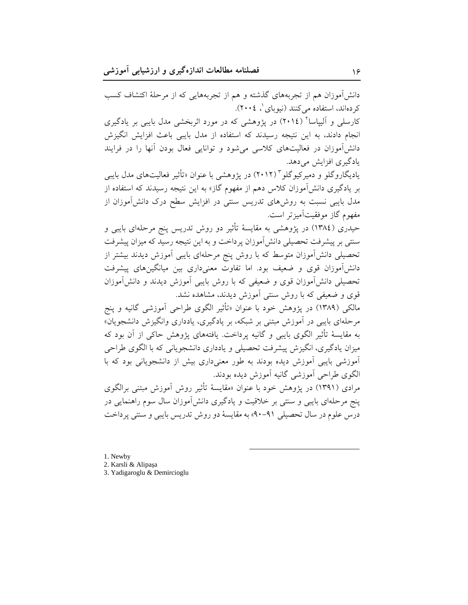دانشآموزان هم از تجربههای گذشته و هم از تجربههایی که از مرحلهٔ اکتشاف کسب کردهاند، استفاده میکنند (نیوبای ل، ۲۰۰٤). کارسلی و آلیپاسا<sup>۲</sup> (۲۰۱٤) در یژوهشی که در مورد اثربخشی مدل بایبی بر یادگیری انجام دادند، به این نتیجه رسیدند که استفاده از مدل بایبی باعث افزایش انگیزش دانشآموزان در فعالیتهای کلاسی می شود و توانایی فعال بودن آنها را در فرایند یادگیری افزایش می دهد. یادیگاروگلو و دمیرکیوگلو ۲۰۱۲) در پژوهشی با عنوان «تأثیر فعالیتهای مدل بایبی بر یادگیری دانشآموزان کلاس دهم از مفهوم گاز» به این نتیجه رسیدند که استفاده از مدل بایبی نسبت به روشهای تدریس سنتی در افزایش سطح درک دانشآموزان از مفهوم گاز موفقیتآمیز تر است. حیدری (١٣٨٤) در پژوهشی به مقایسهٔ تأثیر دو روش تدریس پنج مرحلهای بایبی و سنتی بر پیشرفت تحصیلی دانش آموزان پرداخت و به این نتیجه رسید که میزان پیشرفت

تحصیلی دانشآموزان متوسط که با روش پنج مرحلهای بایبی آموزش دیدند بیشتر از دانشآموزان قوی و ضعیف بود. اما تفاوت معنیداری بین میانگینهای پیشرفت تحصیلی دانش آموزان قوی و ضعیفی که با روش بایبی آموزش دیدند و دانش آموزان قوی و ضعیفی که با روش سنتی آموزش دیدند، مشاهده نشد.

مالکی (۱۳۸۹) در پژوهش خود با عنوان «تأثیر الگوی طراحی آموزشی گانیه و پنج مرحلهای بایبی در آموزش مبتنی بر شبکه، بر یادگیری، یادداری وانگیزش دانشجویان» به مقايسهٔ تأثیر الگوی بايبي و گانيه پرداخت. يافتههای پژوهش حاکي از آن بود که میزان یادگیری، انگیزش پیشرفت تحصیلی و یادداری دانشجویانی که با الگوی طراحی آموزشی بایبی آموزش دیده بودند به طور معنیداری بیش از دانشجویانی بود که با الگوي طراحي آموزشي گانيه آموزش ديده بودند.

مرادي (١٣٩١) در يژوهش خود با عنوان «مقايسهٔ تأثير روش آموزش مبتني برالگوي پنج مرحلهای بایبی و سنتی بر خلاقیت و یادگیری دانشآموزان سال سوم راهنمایی در درس علوم در سال تحصیلی ۹۱-۹۰) به مقایسهٔ دو روش تدریس بایبی و سنتی پرداخت

1. Newby

2. Karsli & Alipaşa

3. Yadigaroglu & Demircioglu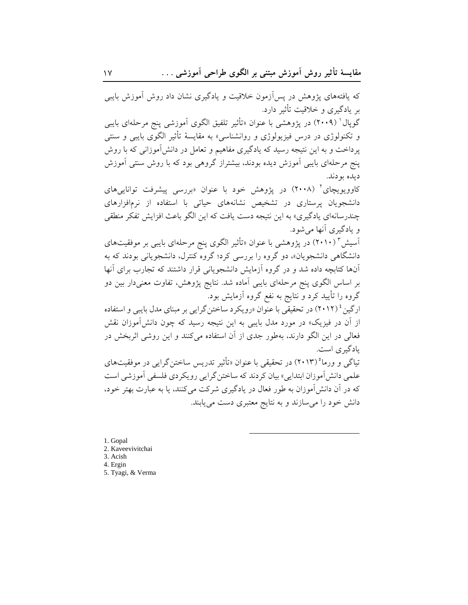که یافتههای پژوهش در پسآزمون خلاقیت و یادگیری نشان داد روش آموزش بایبی بر یادگیری و خلاقیت تأثیر دارد. گوپال<sup>۱</sup> (۲۰۰۹) در پژوهشی با عنوان «تأثیر تلفیق الگوی اَموزشی پنج مرحلهای بایبی و تکنولوژی در درس فیزیولوژی و روانشناسی» به مقایسهٔ تأثیر الگوی بایبی و سنتی پرداخت و به این نتیجه رسید که یادگیری مفاهیم و تعامل در دانشآموزانی که با روش پنج مرحلهای بایبی آموزش دیده بودند، بیشتراز گروهی بود که با روش سنتی آموزش ديده بودند.

کاوویویچای<sup>۲</sup> (۲۰۰۸) در پژوهش خود با عنوان «بررسی پیشرفت تواناییهای دانشجویان پرستاری در تشخیص نشانههای حیاتی با استفاده از نرمافزارهای چندرسانهای یادگیری» به این نتیجه دست یافت که این الگو باعث افزایش تفکر منطقی و یادگیری آنها می شود.

آسیش " (۲۰۱۰) در پژوهشی با عنوان «تأثیر الگوی پنج مرحلهای بایبی بر موفقیتهای دانشگاهی دانشجویان»، دو گروه را بررسی کرد؛ گروه کنترل، دانشجویانی بودند که به آنها کتابچه داده شد و در گروه آزمایش دانشجویانی قرار داشتند که تجارب برای آنها بر اساس الگوی پنج مرحلهای بایبی آماده شد. نتایج پژوهش، تفاوت معنیدار بین دو گروه را تأیید کرد و نتایج به نفع گروه آزمایش بود.

ارگین<sup>، ۱</sup> (۲۰۱۲) در تحقیقی با عنوان «رویکرد ساختنگرایی بر مبنای مدل بایبی و استفاده از آن در فیزیک» در مورد مدل بایبی به این نتیجه رسید که چون دانشآموزان نقش فعالی در این الگو دارند، بهطور جدی از آن استفاده می کنند و این روشی اثربخش در يادگېر ي است.

تیاگی و ورما°(۲۰۱۳) در تحقیقی با عنوان «تأثیر تدریس ساختن گرایی در موفقیتهای علمي دانش آموزان ابتدايي» بيان كردند كه ساختن گرايي رويكردي فلسفي آموزشي است که در آن دانش آموزان به طور فعال در یادگیری شرکت میکنند، یا به عبارت بهتر خود، دانش خود را می سازند و به نتایج معتبری دست می یابند.

1. Gopal 2. Kaveevivitchai 3. Acish 4. Ergin 5. Tyagi, & Verma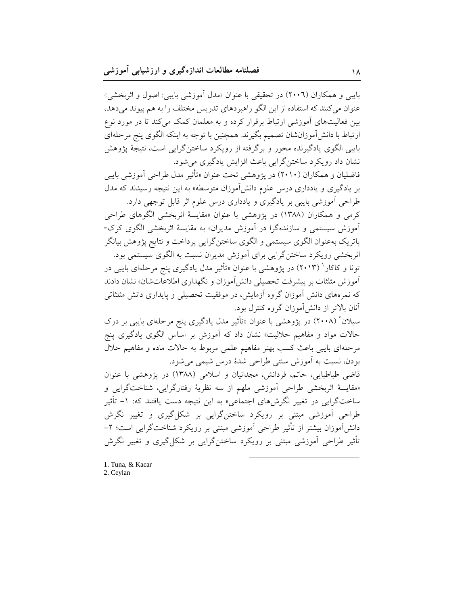بايبي و همكاران (٢٠٠٦) در تحقيقي با عنوان «مدل آموزشي بايبي: اصول و اثربخشي» عنوان می کنند که استفاده از این الگو راهبردهای تدریس مختلف را به هم پیوند میدهد، بین فعالیتهای آموزشی ارتباط برقرار کرده و به معلمان کمک می کند تا در مورد نوع ارتباط با دانش[موزانشان تصمیم بگیرند. همچنین با توجه به اینکه الگوی پنج مرحلهای بایبی الگوی یادگیرنده محور و برگرفته از رویکرد ساختنگرایی است، نتیجهٔ پژوهش نشان داد رويكرد ساختن گرايي باعث افزايش يادگيري مي شود.

فاضلیان و همکاران (۲۰۱۰) در یژوهشی تحت عنوان «تأثیر مدل طراحی آموزشی بایبی بر یادگیری و یادداری درس علوم دانش آموزان متوسطه» به این نتیجه رسیدند که مدل طراحي آموزشي بايبي بر يادگيري و يادداري درس علوم اثر قابل توجهي دارد.

کرمی و همکاران (۱۳۸۸) در یژوهشی با عنوان «مقایسهٔ اثربخشی الگوهای طراحی آموزش سیستمی و سازندهگرا در آموزش مدیران» به مقایسهٔ اثربخشی الگوی کرک-یاتریک بهعنوان الگوی سیستمی و الگوی ساختن گرایی پرداخت و نتایج پژوهش بیانگر اثربخشی رویکرد ساختن گرایی برای آموزش مدیران نسبت به الگوی سیستمی بود.

تونا و کاکار ' (۲۰۱۳) در پژوهشی با عنوان «تأثیر مدل یادگیری پنج مرحلهای بایبی در آموزش مثلثات بر پیشرفت تحصیلی دانش**آموزان و نگهداری اطلاعاتشان» نشان دادن**د که نمرههای دانش آموزان گروه آزمایش، در موفقیت تحصیلی و پایداری دانش مثلثاتی آنان بالاتر از دانش آموزان گروه کنترل بود.

سیلان<sup>۲</sup> (۲۰۰۸) در پژوهشی با عنوان «تأثیر مدل یادگیری پنج مرحلهای بایبی بر درک حالات مواد و مفاهیم حلالیت» نشان داد که آموزش بر اساس الگوی یادگیری پنج مرحلهای بایبی باعث کسب بهتر مفاهیم علمی مربوط به حالات ماده و مفاهیم حلال بودن، نسبت به آموزش سنتي طراحي شدهٔ درس شيمي مي شود.

قاضی طباطبایی، حاتم، فردانش، مجدانیان و اسلامی (۱۳۸۸) در پژوهشی با عنوان «مقايسهٔ اثربخشي طراحي أموزشي ملهم از سه نظريهٔ رفتارگرايي، شناختگرايي و ساختگرایی در تغییر نگرشهای اجتماعی» به این نتیجه دست یافتند که: ۱– تأثیر طراحی آموزشی مبتنی بر رویکرد ساختنگرایی بر شکل گیری و تغییر نگرش دانشآموزان بیشتر از تأثیر طراحی آموزشی مبتنی بر رویکرد شناختگرایی است؛ ۲-تأثیر طراحی آموزشی مبتنی بر رویکرد ساختن گرایی بر شکل گیری و تغییر نگرش

1. Tuna, & Kacar 2. Ceylan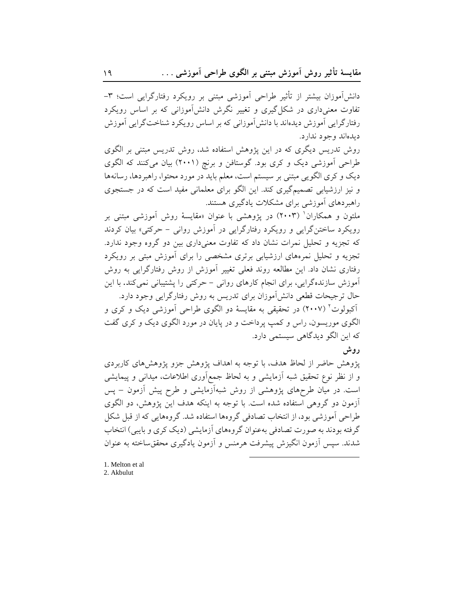دانشآموزان بیشتر از تأثیر طراحی آموزشی مبتنی بر رویکرد رفتارگرایی است؛ ۳-تفاوت معنی داری در شکل گیری و تغییر نگرش دانش آموزانی که بر اساس رویکرد رفتارگرايي آموزش ديدهاند با دانش آموزاني كه بر اساس رويكرد شناختگرايي آموزش ديدهاند وجود ندارد.

روش تدریس دیگری که در این پژوهش استفاده شد، روش تدریس مبتنی بر الگوی طراحی آموزشی دیک و کری بود. گوستافن و برنچ (۲۰۰۱) بیان میکنند که الگوی دیک و کری الگویی مبتنی بر سیستم است، معلم باید در مورد محتوا، راهبردها، رسانهها و نیز ارزشیابی تصمیمگیری کند. این الگو برای معلمانی مفید است که در جستجوی راهبردهای آموزشی برای مشکلات یادگیری هستند.

ملتون و همکاران<sup>۱</sup> (۲۰۰۳) در پژوهشی با عنوان «مقایسهٔ روش آموزشی مبتنی بر رویکرد ساختن گرایی و رویکرد رفتارگرایی در آموزش روانی – حرکتی» بیان کردند که تجزیه و تحلیل نمرات نشان داد که تفاوت معنیداری بین دو گروه وجود ندارد. تجزیه و تحلیل نمرههای ارزشیابی برتری مشخصی را برای آموزش مبتی بر رویکرد رفتاری نشان داد. این مطالعه روند فعلی تغییر آموزش از روش رفتارگرایی به روش آموزش سازندهگرایی، برای انجام کارهای روانی – حرکتی را پشتیبانی نمی کند. با این حال ترجیحات قطعی دانش آموزان برای تدریس به روش رفتارگرایی وجود دارد. اَکبولوت<sup>۲</sup> (۲۰۰۷) در تحقیقی به مقایسهٔ دو الگوی طراحی اَموزشی دیک و کری و الگوی موریسون، راس و کمپ پرداخت و در پایان در مورد الگوی دیک و کری گفت که این الگو دیدگاهی سیستمی دارد.

روش

پژوهش حاضر از لحاظ هدف، با توجه به اهداف پژوهش جزو پژوهشهای کاربردی و از نظر نوع تحقیق شبه آزمایشی و به لحاظ جمع[وری اطلاعات، میدانی و پیمایشی است. در میان طرحهای پژوهشی از روش شبهآزمایشی و طرح پیش آزمون – پس آزمون دو گروهی استفاده شده است. با توجه به اینکه هدف این یژوهش، دو الگوی طراحی آموزشی بود، از انتخاب تصادفی گروهها استفاده شد. گروههایی که از قبل شکل گرفته بودند به صورت تصادفی بهعنوان گروههای آزمایشی (دیک کری و بایبی) انتخاب شدند. سپس آزمون انگیزش پیشرفت هرمنس و آزمون یادگیری محقق ساخته به عنوان

1. Melton et al. 2. Akbulut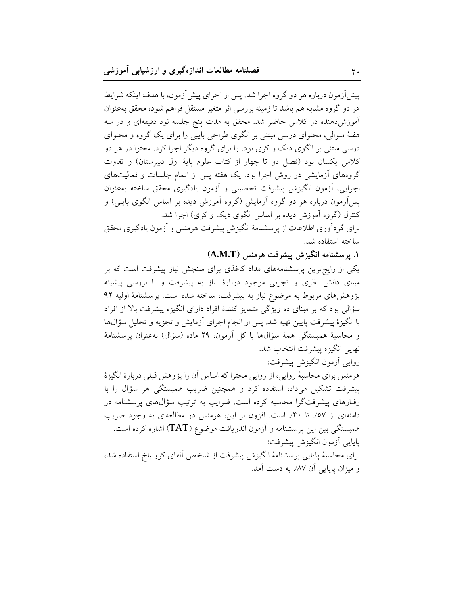پیش آزمون درباره هر دو گروه اجرا شد. پس از اجرای پیش آزمون، با هدف اینکه شرایط هر دو گروه مشابه هم باشد تا زمینه بررسی اثر متغیر مستقل فراهم شود، محقق بهعنوان آموزشدهنده در کلاس حاضر شد. محقق به مدت پنج جلسه نود دقیقهای و در سه هفتهٔ متوالی، محتوای درسی مبتنی بر الگوی طراحی بایبی را برای یک گروه و محتوای درسی مبتنی بر الگوی دیک و کری بود، را برای گروه دیگر اجرا کرد. محتوا در هر دو كلاس يكسان بود (فصل دو تا چهار از كتاب علوم پايهٔ اول دبيرستان) و تفاوت گروههای آزمایشی در روش اجرا بود. یک هفته پس از اتمام جلسات و فعالیتهای اجرایی، آزمون انگیزش پیشرفت تحصیلی و آزمون یادگیری محقق ساخته بهعنوان یسآزمون درباره هر دو گروه آزمایش (گروه آموزش دیده بر اساس الگوی بایبی) و کنترل (گروه آموزش دیده بر اساس الگوی دیک و کری) اجرا شد. برای گردآوری اطلاعات از پرسشنامهٔ انگیزش پیشرفت هرمنس و آزمون یادگیری محقق

ساخته استفاده شد.

۱. پرسشنامه انگیزش پیشرفت هرمنس (A.M.T)

یکی از رایج ترین پرسشنامههای مداد کاغذی برای سنجش نیاز پیشرفت است که بر مبنای دانش نظری و تجربی موجود دربارهٔ نیاز به پیشرفت و با بررسی پیشینه پژوهشهای مربوط به موضوع نیاز به پیشرفت، ساخته شده است. پرسشنامهٔ اولیه ۹۲ سؤالی بود که بر مبنای ده ویژگی متمایز کنندهٔ افراد دارای انگیزه پیشرفت بالا از افراد با انگیزهٔ پیشرفت پایین تهیه شد. پس از انجام اجرای أزمایش و تجزیه و تحلیل سؤالها و محاسبهٔ همبستگی همهٔ سؤالها با کل آزمون، ۲۹ ماده (سؤال) بهعنوان پرسشنامهٔ نهايي انگيزه پيشرفت انتخاب شد. روايي آزمون انگيزش پيشرفت:

هرمنس برای محاسبهٔ روایی، از روایی محتوا که اساس آن را پژوهش قبلی دربارهٔ انگیزهٔ پیشرفت تشکیل میداد، استفاده کرد و همچنین ضریب همبستگی هر سؤال را با رفتارهای پیشرفتگرا محاسبه کرده است. ضرایب به ترتیب سؤالهای پرسشنامه در دامنهای از ٥٧٪ تا ٣٠٪ است. افزون بر این، هرمنس در مطالعهای به وجود ضریب همبستگی بین این پرسشنامه و آزمون اندریافت موضوع (TAT) اشاره کرده است. يايايي أزمون انگيزش پيشرفت: برای محاسبهٔ پایایی پرسشنامهٔ انگیزش پیشرفت از شاخص آلفای کرونباخ استفاده شد، و میزان پایایی آن ۸۷٪ به دست آمد.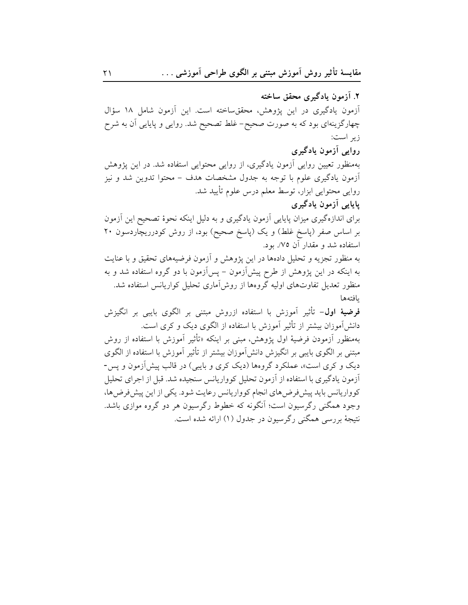۲. آزمون یادگیری محقق ساخته آزمون یادگیری در این پژوهش، محققساخته است. این آزمون شامل ۱۸ سؤال چهارگزینهای بود که به صورت صحیح- غلط تصحیح شد. روایی و پایایی آن به شرح زير است: روایی اَزمون یادگیری بهمنظور تعیین روایی أزمون یادگیری، از روایی محتوایی استفاده شد. در این پژوهش آزمون یادگیری علوم با توجه به جدول مشخصات هدف – محتوا تدوین شد و نیز روایی محتوایی ابزار، توسط معلم درس علوم تأیید شد. یاپایی آزمون یادگیری برای اندازهگیری میزان پایایی آزمون یادگیری و به دلیل اینکه نحوهٔ تصحیح این آزمون بر اساس صفر (پاسخ غلط) و یک (پاسخ صحیح) بود، از روش کودرریچاردسون ۲۰ استفاده شد و مقدار آن ۷۵/. بود. به منظور تجزیه و تحلیل دادهها در این پژوهش و آزمون فرضیههای تحقیق و با عنایت به اینکه در این پژوهش از طرح پیشآزمون – پسآزمون با دو گروه استفاده شد و به منظور تعدیل تفاوتهای اولیه گروهها از روش[ماری تحلیل کواریانس استفاده شد. بافتهها **فرضيهٔ اول**– تأثير آموزش با استفاده ازروش مبتني بر الگوي بايبي بر انگيزش دانش[موزان بیشتر از تأثیر آموزش با استفاده از الگوی دیک و کری است. بهمنظور أزمودن فرضيهٔ اول يژوهش، مبنى بر اينكه «تأثير أموزش با استفاده از روش مبتنی بر الگوی بایبی بر انگیزش دانش[موزان بیشتر از تأثیر آموزش با استفاده از الگوی دیک و کری است»، عملکرد گروهها (دیک کری و بایبی) در قالب پیش ازمون و پس-آزمون یادگیری با استفاده از آزمون تحلیل کوواریانس سنجیده شد. قبل از اجرای تحلیل کوواریانس باید پیش فرض های انجام کوواریانس رعایت شود. یکی از این پیش فرض ها، وجود همگنی رگرسیون است؛ آنگونه که خطوط رگرسیون هر دو گروه موازی باشد. نتيجهٔ بررسي همگني رگرسيون در جدول (۱) ارائه شده است.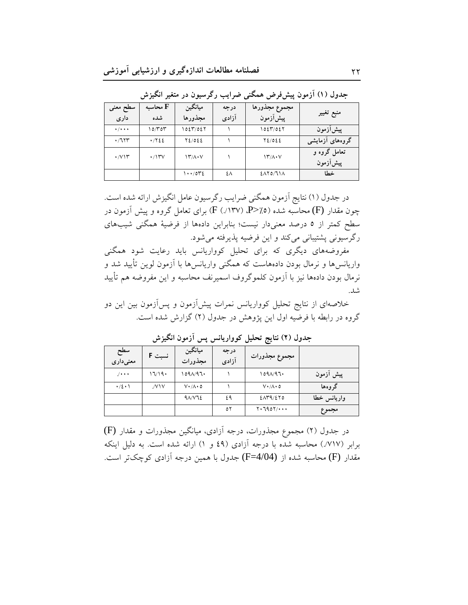| سطح معنى                          | محاسبه ${\bf F}$   | ميانگين                   | درجه  | مجموع مجذورها      |                          |
|-----------------------------------|--------------------|---------------------------|-------|--------------------|--------------------------|
| داری                              | شده                | مجذورها                   | آزادی | پیشآزمون           | منبع تغيير               |
| $\bullet$ / $\bullet$ + $\bullet$ | ۱۵/۳۵۳             | ۱٥٤٣/٥٤٢                  |       | ۱۵٤٣/٥٤٢           | پیش آزمون                |
| .7117                             | .7722              | $Y\S05E$                  |       | $Y\S05E$           | گروههای آزمایشی          |
| $\cdot$ / $\vee$ $\wedge$         | $\cdot$ /۱۳ $\vee$ | $\Upsilon/\Lambda\cdot V$ |       | $Y'/A\cdot V$      | تعامل گروه و<br>پیشآزمون |
|                                   |                    | $1 \cdot \cdot$ /0۳٤      | ٤٨    | $2\lambda Y_0/Y_1$ | خطا                      |

.<br>جدول (۱) آزمون پیشفرض همگنی ضرایب رگرسیون در متغیر انگیزش

در جدول (۱) نتایج آزمون همگنی ضرایب رگرسیون عامل انگیزش ارائه شده است. چون مقدار (F) محاسبه شده (P>/.0) P. (۲۳۷) برای تعامل گروه و پیش آزمون در سطح کمتر از ٥ درصد معنىدار نيست؛ بنابراين دادهها از فرضيهٔ همگنى شيبهاى رگرسیونی پشتیبانی میکند و این فرضیه پذیرفته میشود.

مفروضههای دیگری که برای تحلیل کوواریانس باید رعایت شود همگنی واریانس ها و نرمال بودن دادههاست که همگنی واریانس ها با آزمون لوین تأیید شد و نرمال بودن دادهها نيز با آزمون كلموگروف اسميرنف محاسبه و اين مفروضه هم تأييد شد.

خلاصهای از نتایج تحلیل کوواریانس نمرات پیشآزمون و پسآزمون بین این دو گروه در رابطه با فرضیه اول این پژوهش در جدول (۲) گزارش شده است.

| سطح<br>معنىدارى | نسبت F | ميانگين<br>مجذورات          | درجه<br>آزادى | مجموع مجذورات               |             |
|-----------------|--------|-----------------------------|---------------|-----------------------------|-------------|
| $1$             | 17/19  | ٬۵۹۸/۹٦۰                    |               | $109\Lambda/97$             | پیش آزمون   |
| $\cdot/2 \cdot$ | VIV.   | $V \cdot / \Lambda \cdot 0$ |               | $V \cdot / \Lambda \cdot 0$ | گر و هها    |
|                 |        | $4\lambda/\nu$              | ٤٩            | 2079/270                    | واريانس خطا |
|                 |        |                             | ٥٢            | $Y \cdot 790Y / \cdots$     | مجموع       |

جدول (٢) نتايج تحليل كوواريانس پس أزمون انگيزش

در جدول (۲) مجموع مجذورات، درجه آزادی، میانگین مجذورات و مقدار (F) برابر (٧١٧٪) محاسبه شده با درجه آزادي (٤٩ و ١) ارائه شده است. به دليل اينكه مقدار (F) محاسبه شده از (F=4/04) جدول با همین درجه آزادی کوچکتر است.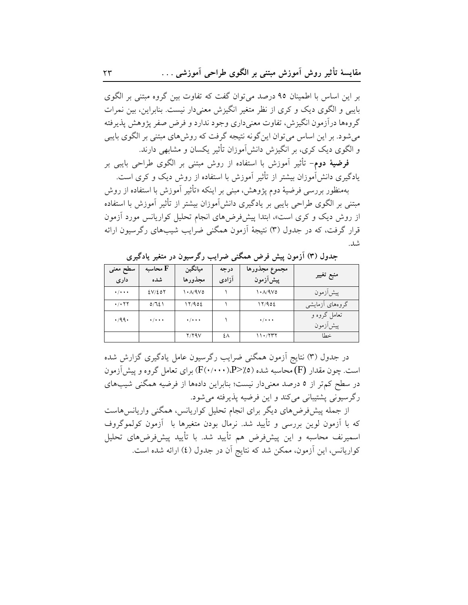بر این اساس با اطمینان ۹۵ درصد میتوان گفت که تفاوت بین گروه مبتنی بر الگوی بایبی و الگوی دیک و کری از نظر متغیر انگیزش معنی دار نیست. بنابراین، بین نمرات گروهها درآزمون انگیزش، تفاوت معنیداری وجود ندارد و فرض صفر پژوهش پذیرفته می شود. بر این اساس می توان این گونه نتیجه گرفت که روش های مبتنی بر الگوی بایبی و الگوی دیک کری، بر انگیزش دانشآموزان تأثیر یکسان و مشابهی دارند.

**فرضیهٔ دوم**– تأثیر آموزش با استفاده از روش مبتنی بر الگوی طراحی بایبی بر یادگیری دانش آموزان بیشتر از تأثیر آموزش با استفاده از روش دیک و کری است.

بهمنظور بررسی فرضیهٔ دوم یژوهش، مبنی بر اینکه «تأثیر آموزش با استفاده از روش مبتنی بر الگوی طراحی بایبی بر یادگیری دانشآموزان بیشتر از تأثیر آموزش با استفاده از روش دیک و کری است»، ابتدا پیشفرضهای انجام تحلیل کواریانس مورد آزمون قرار گرفت، که در جدول (۳) نتیجهٔ آزمون همگنی ضرایب شیبهای رگرسیون ارائه شد.

| سطح معنى<br>داری             | محاسىه ${\bf F}$<br>شده   | ميانگين<br>مجذورها           | درجه<br>آزادى | مجموع مجذورها<br>پیشآزمون    | منبع تغيير               |
|------------------------------|---------------------------|------------------------------|---------------|------------------------------|--------------------------|
| $\cdot$ / $\cdot$ + $\cdot$  | 2V/EOT                    | $\lambda \cdot \Lambda / 9V$ |               | $\lambda \cdot \Lambda / 9V$ | پیشآزمون                 |
| $\cdot$ / $\cdot$ $\tau\tau$ | 0/721                     | 17/902                       |               | 17/902                       | گروههای آزمایشی          |
| .49.                         | $\cdot$ / $\cdot$ $\cdot$ | $\cdot$ / $\cdot$ + $\cdot$  |               | $\cdot$ / $\cdot$ + $\cdot$  | تعامل گروه و<br>پیشأزمون |
|                              |                           | $Y/Y$ ۹ $V$                  | ٤٨            | ۱۱۰/۲۳۲                      | خطا                      |

جدول (۳) آزمون پیش فرض همگنی ضرایب رگرسیون در متغیر یادگیری

در جدول (۳) نتایج اَزمون همگنی ضرایب رگرسیون عامل یادگیری گزارش شده است. چون مقدار (F) محاسبه شده (P>/0). (F(۰/۰۰۰)) برای تعامل گروه و پیش آزمون در سطح کم تر از ٥ درصد معنىدار نيست؛ بنابراين دادهها از فرضيه همگنى شيبهاى رگرسیونی پشتیبانی می کند و این فرضیه پذیرفته می شود.

از جمله پیش فرضهای دیگر برای انجام تحلیل کواریانس، همگنی واریانس هاست که با آزمون لوین بررسی و تأیید شد. نرمال بودن متغیرها با آزمون کولموگروف اسمیرنف محاسبه و این پیشفرض هم تأیید شد. با تأیید پیشفرضهای تحلیل كواريانس، اين آزمون، ممكن شد كه نتايج آن در جدول (٤) ارائه شده است.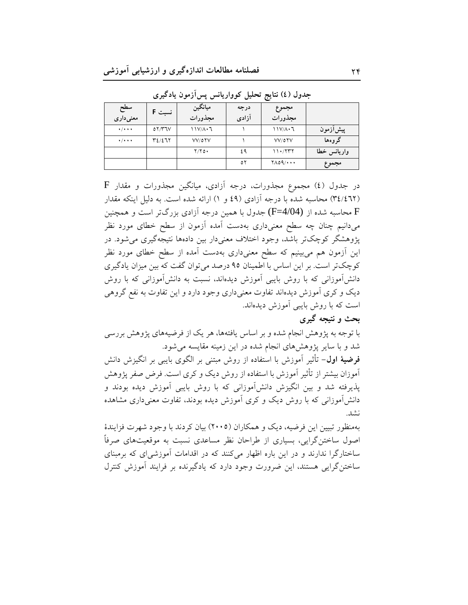| سطح<br>معنىدارى             | نسبت F | ميانگين<br>مجذورات | درجه<br>آزادی | مجموع<br>مجذورات          |             |
|-----------------------------|--------|--------------------|---------------|---------------------------|-------------|
| $\cdot$ / $\cdot$ + $\cdot$ | 07/T7V | $11V/A \cdot 7$    |               | $11V/A \cdot 7$           | پیشlزمون    |
| $\cdot$ / $\cdot$ + $\cdot$ | Y2/277 | VV/0YV             |               | VV/0YV                    | گروهها      |
|                             |        | $Y/Y$ $\circ$      | ٤٩            | 11.7777                   | واريانس خطا |
|                             |        |                    | ٥٢            | $Y\wedge o\varphi/\cdots$ | مجموع       |

جدول (٤) نتايج تحليل كوواريانس پسآزمون يادگيري

 $\rm F$  در جدول (٤) مجموع مجذورات، درجه آزادی، میانگین مجذورات و مقدار (٣٤/٤٦٢) محاسبه شده با درجه آزادي (٤٩ و ١) ارائه شده است. به دليل اينكه مقدار F محاسبه شده از (F=4/04) جدول با همین درجه آزادی بزرگتر است و همچنین میدانیم چنان چه سطح معنیداری بهدست آمده آزمون از سطح خطای مورد نظر یژوهشگر کوچکتر باشد، وجود اختلاف معنیدار بین دادهها نتیجهگیری میشود. در این آزمون هم میبینیم که سطح معنیداری بهدست آمده از سطح خطای مورد نظر کوچکتر است. بر این اساس با اطمینان ۹۵ درصد می توان گفت که بین میزان یادگیری دانشآموزانی که با روش بایبی آموزش دیدهاند، نسبت به دانشآموزانی که با روش دیک و کری آموزش دیدهاند تفاوت معنیداری وجود دارد و این تفاوت به نفع گروهی است که با روش بایبی آموزش دیدهاند.

# بحث و نتیجه گیری

با توجه به پژوهش انجام شده و بر اساس یافتهها، هر یک از فرضیههای پژوهش بررسی شد و با سایر پژوهش های انجام شده در این زمینه مقایسه می شود. **فرضيهٔ اول**– تأثیر آموزش با استفاده از روش مبتنی بر الگوی بایبی بر انگیزش دانش آموزان بیشتر از تأثیر آموزش با استفاده از روش دیک و کری است. فرض صفر پژوهش یذیرفته شد و بین انگیزش دانشآموزانی که با روش بایبی آموزش دیده بودند و دانش آموزانی که با روش دیک و کری آموزش دیده بودند، تفاوت معنیداری مشاهده نشد.

بهمنظور تبیین این فرضیه، دیک و همکاران (۲۰۰۵) بیان کردند با وجود شهرت فزایندهٔ اصول ساختنگرایی، بسیاری از طراحان نظر مساعدی نسبت به موقعیتهای صرفاً ساختارگرا ندارند و در این باره اظهار میکنند که در اقدامات آموزشی ای که برمبنای ساختنگرایی هستند، این ضرورت وجود دارد که یادگیرنده بر فرایند آموزش کنترل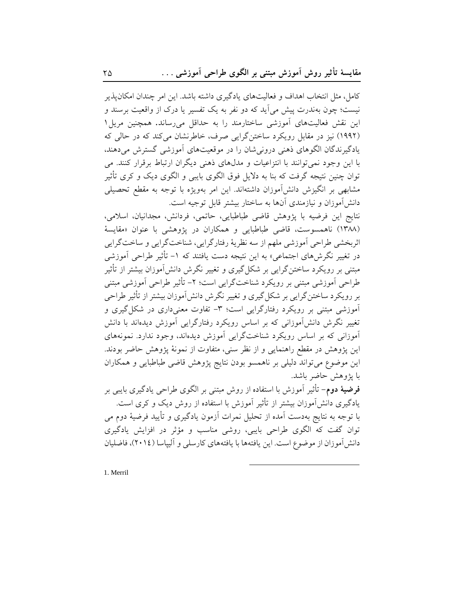کامل، مثل انتخاب اهداف و فعالیتهای یادگیری داشته باشد. این امر چندان امکان پذیر نیست؛ چون بهندرت پیش می آید که دو نفر به یک تفسیر یا درک از واقعیت برسند و این نقش فعالیتهای آموزشی ساختارمند را به حداقل میرساند. همچنین مریل ۱ (۱۹۹۲) نیز در مقابل رویکرد ساختن گرایی صرف، خاطرنشان می کند که در حالی که یادگیرندگان الگوهای ذهنی درونی شان را در موقعیتهای آموزشی گسترش میدهند، با این وجود نمیتوانند با انتزاعیات و مدلهای ذهنی دیگران ارتباط برقرار کنند. می توان چنین نتیجه گرفت که بنا به دلایل فوق الگوی بایبی و الگوی دیک و کری تأثیر مشابهی بر انگیزش دانشآموزان داشتهاند. این امر بهویژه با توجه به مقطع تحصیلی دانش آموزان و نیازمندی آنها به ساختار بیشتر قابل توجیه است.

نتايج اين فرضيه با پژوهش قاضي طباطبايي، حاتمي، فردانش، مجدانيان، اسلامي، (۱۳۸۸) ناهمسوست، قاضی طباطبایی و همکاران در یژوهشی با عنوان «مقایسهٔ اثربخشي طراحي أموزشي ملهم از سه نظريهٔ رفتارگرايي، شناختگرايي و ساختگرايي در تغییر نگرشهای اجتماعی» به این نتیجه دست یافتند که ۱– تأثیر طراحی آموزشی مبتنی بر رویکرد ساختن گرایی بر شکل گیری و تغییر نگرش دانشآموزان بیشتر از تأثیر طراحي أموزشي مبتني بر رويكرد شناخت گرايي است؛ ٢- تأثير طراحي أموزشي مبتني بر رویکرد ساختن گرایی بر شکل گیری و تغییر نگرش دانش آموزان بیشتر از تأثیر طراحی آموزشی مبتنی بر رویکرد رفتارگرایی است؛ ۳- تفاوت معنیداری در شکل گیری و تغییر نگرش دانشآموزانی که بر اساس رویکرد رفتارگرایی آموزش دیدهاند با دانش آموزانی که بر اساس رویکرد شناختگرایی آموزش دیدهاند، وجود ندارد. نمونههای این یژوهش در مقطع راهنمایی و از نظر سنی، متفاوت از نمونهٔ یژوهش حاضر بودند. این موضوع می تواند دلیلی بر ناهمسو بودن نتایج پژوهش قاضی طباطبایی و همکاران با يژوهش حاضر باشد.

**فرضیهٔ دوم**– تأثیر آموزش با استفاده از روش مبتنی بر الگوی طراحی یادگیری بایبی بر یادگیری دانش[موزان بیشتر از تأثیر آموزش با استفاده از روش دیک و کری است. با توجه به نتایج بهدست آمده از تحلیل نمرات آزمون یادگیری و تأیید فرضیهٔ دوم می توان گفت که الگوی طراحی بایبی، روشی مناسب و مؤثر در افزایش یادگیری دانش آموزان از موضوع است. این یافتهها با یافتههای کارسلی و آلیپاسا (٢٠١٤)، فاضلیان

1. Merril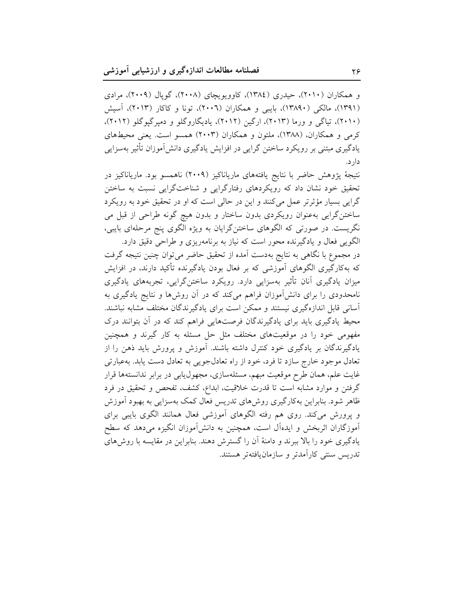و همکاران (۲۰۱۰)، حیدری (۱۳۸٤)، کاوویویچای (۲۰۰۸)، گویال (۲۰۰۹)، مرادی (۱۳۹۱)، مالکی (۱۳۸۹۰)، بایبی و همکاران (۲۰۰۲)، تونا و کاکار (۲۰۱۳)، آسیش (۲۰۱۰)، تیاگی و ورما (۲۰۱۳)، ارگین (۲۰۱۲)، یادیگاروگلو و دمیرگیوگلو (۲۰۱۲)، کرمی و همکاران، (۱۳۸۸)، ملتون و همکاران (۲۰۰۳) همسو است. یعنی محیطهای یادگیری مبتنی بر رویکرد ساختن گرایی در افزایش یادگیری دانشآموزان تأثیر بهسزایی دار د.

نتيجهٔ پژوهش حاضر با نتايج يافتههاى مارياناكيز (٢٠٠٩) ناهمسو بود. مارياناكيز در تحقیق خود نشان داد که رویکردهای رفتارگرایی و شناختگرایی نسبت به ساختن گرايي بسيار مؤثرتر عمل مي كنند و اين در حالي است كه او در تحقيق خود به رويكرد ساختنگرایی بهعنوان رویکردی بدون ساختار و بدون هیچ گونه طراحی از قبل می نگریست. در صورتی که الگوهای ساختنگرایان به ویژه الگوی پنج مرحلهای بایبی، الگويي فعال و يادگيرنده محور است كه نياز به برنامهريزي و طراحي دقيق دارد.

در مجموع با نگاهی به نتایج بهدست آمده از تحقیق حاضر میتوان چنین نتیجه گرفت که بهکارگیری الگوهای آموزشی که بر فعال بودن یادگیرنده تأکید دارند، در افزایش میزان یادگیری آنان تأثیر بهسزایی دارد. رویکرد ساختنگرایی، تجربههای یادگیری نامحدودی را برای دانشآموزان فراهم میکند که در آن روشها و نتایج یادگیری به آسانی قابل اندازهگیری نیستند و ممکن است برای یادگیرندگان مختلف مشابه نباشند. محیط یادگیری باید برای یادگیرندگان فرصتهایی فراهم کند که در آن بتوانند درک مفهومی خود را در موقعیتهای مختلف مثل حل مسئله به کار گیرند و همچنین یادگیرندگان بر یادگیری خود کنترل داشته باشند. آموزش و پرورش باید ذهن را از تعادل موجود خارج سازد تا فرد، خود از راه تعادلجويي به تعادل دست يابد. بهعبارتي غایت علم، همان طرح موقعیت مبهم، مسئلهسازی، مجهول،یابی در برابر ندانستهها قرار گرفتن و موارد مشابه است تا قدرت خلاقیت، ابداع، کشف، تفحص و تحقیق در فرد ظاهر شود. بنابراین بهکارگیری روش،ای تدریس فعال کمک بهسزایی به بهبود آموزش و پرورش میکند. روی هم رفته الگوهای آموزشی فعال همانند الگوی بایبی برای آموزگاران اثربخش و ایدهآل است، همچنین به دانشآموزان انگیزه میدهد که سطح یادگیری خود را بالا ببرند و دامنهٔ آن را گسترش دهند. بنابراین در مقایسه با روش های تدريس سنتي كارآمدتر و سازمان يافتهتر هستند.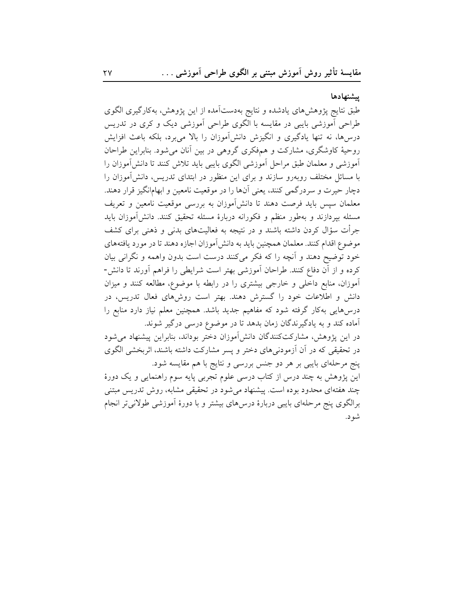#### ييشنهادها

طبق نتایج پژوهشهای یادشده و نتایج بهدستآمده از این پژوهش، بهکارگیری الگوی طراحی آموزشی بایبی در مقایسه با الگوی طراحی آموزشی دیک و کری در تدریس درسها، نه تنها یادگیری و انگیزش دانشآموزان را بالا میبرد، بلکه باعث افزایش روحیهٔ کاوشگری، مشارکت و همفکری گروهی در بین آنان میشود. بنابراین طراحان آموزشی و معلمان طبق مراحل آموزشی الگوی بایبی باید تلاش کنند تا دانشآموزان را با مسائل مختلف روبهرو سازند و برای این منظور در ابتدای تدریس، دانش آموزان را دچار حیرت و سردرگمی کنند، یعنی آنها را در موقعیت نامعین و ابهامانگیز قرار دهند. معلمان سپس باید فرصت دهند تا دانشآموزان به بررسی موقعیت نامعین و تعریف مسئله بپردازند و بهطور منظم و فکورانه دربارهٔ مسئله تحقیق کنند. دانشآموزان باید جرأت سؤال کردن داشته باشند و در نتیجه به فعالیتهای بدنی و ذهنی برای کشف موضوع اقدام كنند. معلمان همچنين بايد به دانش آموزان اجازه دهند تا در مورد يافتههاي خود توضیح دهند و آنچه را که فکر میکنند درست است بدون واهمه و نگرانی بیان كرده و از آن دفاع كنند. طراحان آموزشي بهتر است شرايطي را فراهم آورند تا دانش-آموزان، منابع داخلی و خارجی بیشتری را در رابطه با موضوع، مطالعه کنند و میزان دانش و اطلاعات خود را گسترش دهند. بهتر است روشهای فعال تدریس، در درس۵ایی بهکار گرفته شود که مفاهیم جدید باشد. همچنین معلم نیاز دارد منابع را آماده کند و به یادگیرندگان زمان بدهد تا در موضوع درسی درگیر شوند.

در این پژوهش، مشارکتکنندگان دانش|موزان دختر بوداند، بنابراین پیشنهاد میشود در تحقیقی که در آن آزمودنیهای دختر و پسر مشارکت داشته باشند، اثربخشی الگوی پنج مرحلهای بایبی بر هر دو جنس بررسی و نتایج با هم مقایسه شود.

این پژوهش به چند درس از کتاب درسی علوم تجربی پایه سوم راهنمایی و یک دورهٔ چند هفتهای محدود بوده است. پیشنهاد می شود در تحقیقی مشابه، روش تدریس مبتنی برالگوی پنج مرحلهای بایبی دربارهٔ درس۵لی بیشتر و با دورهٔ اَموزشی طولانی تر انجام شو د.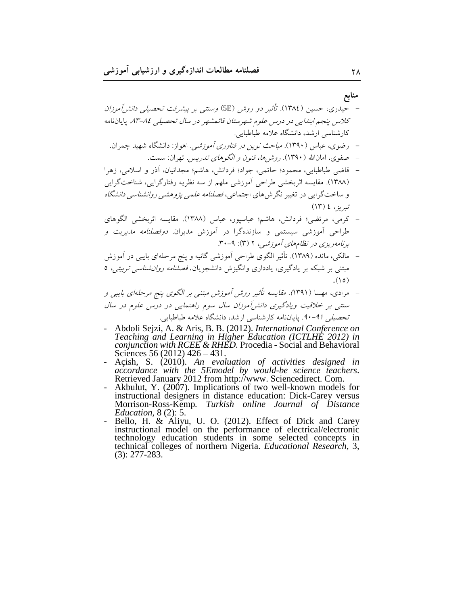منابع

- رضوی، عباس (۱۳۹۰). *مباحث نوین در فناوری آموزشه ٍ.* اهواز: دانشگاه شهید چمران.
	- صفوي، امانالله ( ۱۳۹۰). ر*وش ها، فنون و الگوهاي تدريس*. تهران: سمت.
- قاضی طباطبایی، محمود؛ حاتمی، جواد؛ فردانش، هاشم؛ مجدانیان، آذر و اسلامی، زهرا (١٣٨٨). مقايسه اثربخشي طراحي أموزشي ملهم از سه نظريه رفتارگرايي، شناختگرايي و ساختگرایی در تغییر نگرش های اجتماعی، *فصلنامه علمی پژوهشی روانشناسی دانشگاه* تيريز ، ٤ (١٣)
- کرمی، مرتضی؛ فردانش، هاشم؛ عباسپور، عباس (۱۳۸۸). مقایسه اثربخشی الگوهای طراحی آموزشی سیستمی و سازندهگرا در آموزش مدیران *دوفصلنامه مدیریت و* برنامه ریزی در نظامهای آموزشبی، ۲ (۳): ۶-۳۰.
- مالکی، مائده (۱۳۸۹). تأثیر الگوی طراحی آموزشی گانیه و پنج مرحلهای بایبی در آموزش مبتنی بر شبکه بر یادگیری، یادداری وانگیزش دانشجویان. *فصلنامه روان شناسی تربیتی،* ٥  $(10)$
- مرادی، مهسا (۱۳۹۱). *مقایسه تأثیر روش آموزش مبتنی بر الگوی پنج مرحلهای بایبی و* سنتبی بر خلاقیت ویادگیری دانش آموزان سال سوم راهنمایی در درس علوم در سال تحصی*لی (۹-۹۰*. پایاننامه کارشناسی ارشد، دانشگاه علامه طباطبایی.
- Abdoli Sejzi, A. & Aris, B. B. (2012). International Conference on Teaching and Learning in Higher Education (ICTLHE 2012) in conjunction with RCEE & RHED. Procedia - Social and Behavioral Sciences 56 (2012)  $426 - 431$ .
- Açish, S. (2010). An evaluation of activities designed in<br>accordance with the 5Emodel by would-be science teachers.<br>Retrieved January 2012 from http://www. Sciencedirect. Com.
- Akbulut, Y. (2007). Implications of two well-known models for instructional designers in distance education: Dick-Carey versus Morrison-Ross-Kemp. Turkish online Journal of Distance *Education,*  $8(2)$ : 5.
- Bello, H. & Aliyu, U. O. (2012). Effect of Dick and Carey instructional model on the performance of electrical/electronic technology education students in some selected concepts in technical colleges of northern Nigeria. Educational Research, 3,  $(3): 277 - 283.$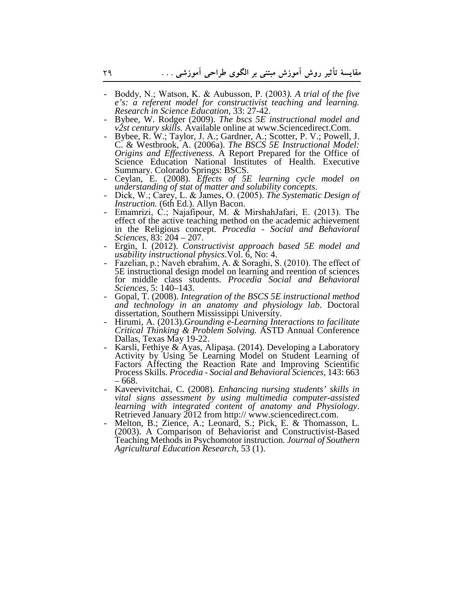- Boddy, N.; Watson, K. & Aubusson, P. (2003*). A trial of the five e's: a referent model for constructivist teaching and learning. Research in Science Education*, 33: 27-42.
- Bybee, W. Rodger (2009). *The bscs 5E instructional model and v2st century skills.* Available online at www.Sciencedirect.Com.
- Bybee, R. W.; Taylor, J. A.; Gardner, A.; Scotter, P. V.; Powell, J. C. & Westbrook, A. (2006a). *The BSCS 5E Instructional Model: Origins and Effectiveness.* A Report Prepared for the Office of Science Education National Institutes of Health. Executive Summary. Colorado Springs: BSCS.
- Ceylan, E. (2008). *Effects of 5E learning cycle model on understanding of stat of matter and solubility concepts*.
- Dick, W.; Carey, L. & James, O. (2005). *The Systematic Design of Instruction.* (6th Ed.). Allyn Bacon.
- Emamrizi, C.; Najafipour, M. & MirshahJafari, E. (2013). The effect of the active teaching method on the academic achievement in the Religious concept. *Procedia - Social and Behavioral Sciences*, 83: 204 – 207.
- Ergin, I. (2012). *Constructivist approach based 5E model and usability instructional physics*.Vol. 6, No: 4.
- Fazelian, p.; Naveh ebrahim, A. & Soraghi, S. (2010). The effect of 5E instructional design model on learning and reention of sciences for middle class students. *Procedia Social and Behavioral Sciences,* 5: 140–143.
- Gopal, T. (2008). *Integration of the BSCS 5E instructional method and technology in an anatomy and physiology lab*. Doctoral dissertation, Southern Mississippi University.
- Hirumi, A. (2013).*Grounding e-Learning Interactions to facilitate Critical Thinking & Problem Solving.* ASTD Annual Conference Dallas, Texas May 19-22.
- Karsli, Fethiye & Ayas, Alipaşa. (2014). Developing a Laboratory Activity by Using 5e Learning Model on Student Learning of Factors Affecting the Reaction Rate and Improving Scientific Process Skills*. Procedia - Social and Behavioral Sciences,* 143: 663 – 668.
- Kaveevivitchai, C. (2008). *Enhancing nursing students' skills in vital signs assessment by using multimedia computer-assisted learning with integrated content of anatomy and Physiology*. Retrieved January 2012 from http:// www.sciencedirect.com.
- Melton, B.; Zience, A.; Leonard, S.; Pick, E. & Thomasson, L. (2003). A Comparison of Behaviorist and Constructivist-Based Teaching Methods in Psychomotor instruction*. Journal of Southern Agricultural Education Research*, 53 (1).